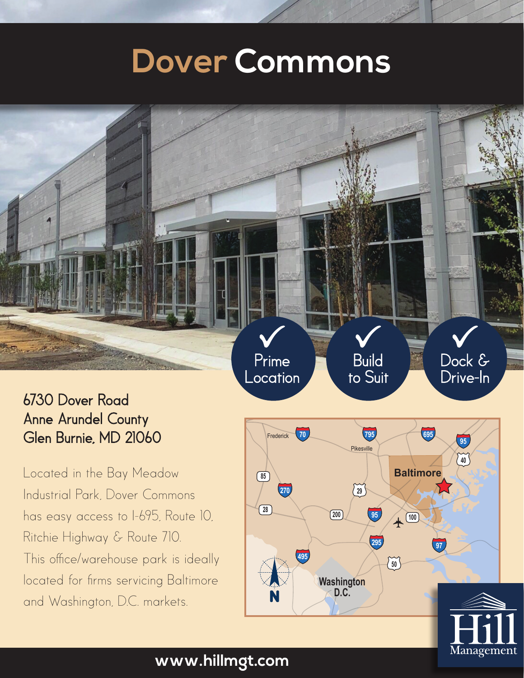# **Dover Commons**

Prime Location

### 6730 Dover Road Anne Arundel County Glen Burnie, MD 21060

Located in the Bay Meadow Industrial Park, Dover Commons has easy access to I-695, Route 10, Ritchie Highway & Route 710. This office/warehouse park is ideally located for firms servicing Baltimore and Washington, D.C. markets.



Build to Suit Dock & Drive-In **<sup>83</sup>**

Hunt Valley Bel Air

#### **www.hillmgt.com**